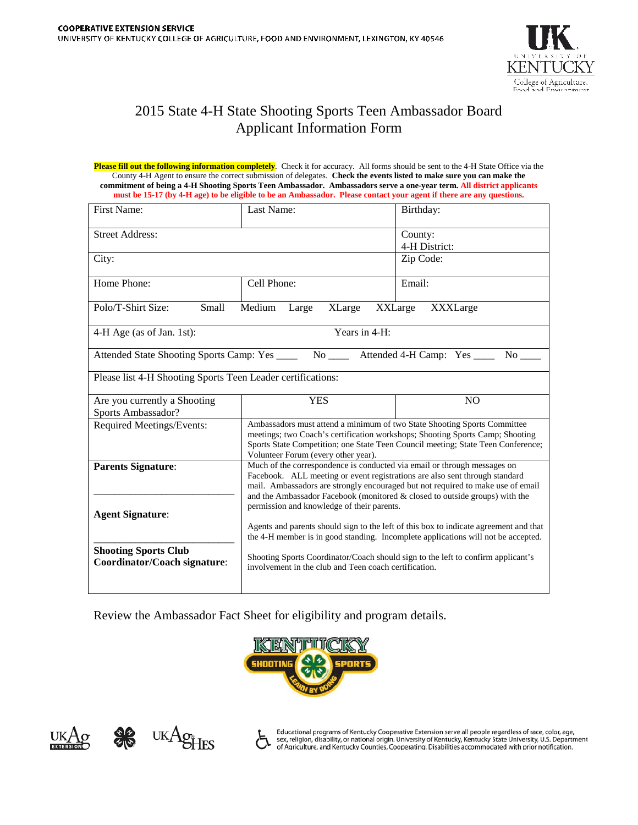

## 2015 State 4-H State Shooting Sports Teen Ambassador Board Applicant Information Form

**Please fill out the following information completely**. Check it for accuracy. All forms should be sent to the 4-H State Office via the County 4-H Agent to ensure the correct submission of delegates. **Check the events listed to make sure you can make the commitment of being a 4-H Shooting Sports Teen Ambassador. Ambassadors serve a one-year term. All district applicants must be 15-17 (by 4-H age) to be eligible to be an Ambassador. Please contact your agent if there are any questions.**

| First Name:                                                                                    | Last Name:                                                                                                                                                                                                                                                                                                                                                                                                                                                                                                                                               | Birthday:                |
|------------------------------------------------------------------------------------------------|----------------------------------------------------------------------------------------------------------------------------------------------------------------------------------------------------------------------------------------------------------------------------------------------------------------------------------------------------------------------------------------------------------------------------------------------------------------------------------------------------------------------------------------------------------|--------------------------|
| <b>Street Address:</b>                                                                         |                                                                                                                                                                                                                                                                                                                                                                                                                                                                                                                                                          | County:<br>4-H District: |
| City:                                                                                          |                                                                                                                                                                                                                                                                                                                                                                                                                                                                                                                                                          | Zip Code:                |
| Home Phone:                                                                                    | Cell Phone:                                                                                                                                                                                                                                                                                                                                                                                                                                                                                                                                              | Email:                   |
| Polo/T-Shirt Size:<br>Small<br>Medium<br><b>XLarge</b><br>XXLarge<br>XXXLarge<br>Large         |                                                                                                                                                                                                                                                                                                                                                                                                                                                                                                                                                          |                          |
| Years in 4-H:<br>4-H Age (as of Jan. 1st):                                                     |                                                                                                                                                                                                                                                                                                                                                                                                                                                                                                                                                          |                          |
| Attended State Shooting Sports Camp: Yes ______ No ______ Attended 4-H Camp: Yes ______ No ___ |                                                                                                                                                                                                                                                                                                                                                                                                                                                                                                                                                          |                          |
| Please list 4-H Shooting Sports Teen Leader certifications:                                    |                                                                                                                                                                                                                                                                                                                                                                                                                                                                                                                                                          |                          |
| Are you currently a Shooting<br>Sports Ambassador?                                             | <b>YES</b>                                                                                                                                                                                                                                                                                                                                                                                                                                                                                                                                               | N <sub>O</sub>           |
| Required Meetings/Events:                                                                      | Ambassadors must attend a minimum of two State Shooting Sports Committee<br>meetings; two Coach's certification workshops; Shooting Sports Camp; Shooting<br>Sports State Competition; one State Teen Council meeting; State Teen Conference;<br>Volunteer Forum (every other year).                                                                                                                                                                                                                                                                     |                          |
| <b>Parents Signature:</b><br><b>Agent Signature:</b><br><b>Shooting Sports Club</b>            | Much of the correspondence is conducted via email or through messages on<br>Facebook. ALL meeting or event registrations are also sent through standard<br>mail. Ambassadors are strongly encouraged but not required to make use of email<br>and the Ambassador Facebook (monitored $\&$ closed to outside groups) with the<br>permission and knowledge of their parents.<br>Agents and parents should sign to the left of this box to indicate agreement and that<br>the 4-H member is in good standing. Incomplete applications will not be accepted. |                          |
| <b>Coordinator/Coach signature:</b>                                                            | Shooting Sports Coordinator/Coach should sign to the left to confirm applicant's<br>involvement in the club and Teen coach certification.                                                                                                                                                                                                                                                                                                                                                                                                                |                          |

Review the Ambassador Fact Sheet for eligibility and program details.







Educational programs of Kentucky Cooperative Extension serve all people regardless of race, color, age, sex, religion, disability, or national origin. University of Kentucky, Kentucky State University, U.S. Department of Agriculture, and Kentucky Counties, Cooperating. Disabilities accommodated with prior notification.